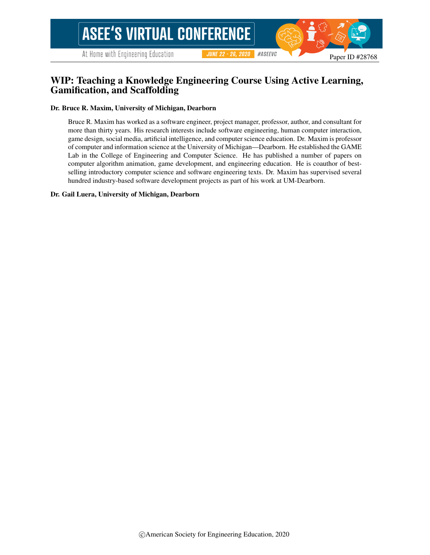# WIP: Teaching a Knowledge Engineering Course Using Active Learning, Gamification, and Scaffolding

#### Dr. Bruce R. Maxim, University of Michigan, Dearborn

Bruce R. Maxim has worked as a software engineer, project manager, professor, author, and consultant for more than thirty years. His research interests include software engineering, human computer interaction, game design, social media, artificial intelligence, and computer science education. Dr. Maxim is professor of computer and information science at the University of Michigan—Dearborn. He established the GAME Lab in the College of Engineering and Computer Science. He has published a number of papers on computer algorithm animation, game development, and engineering education. He is coauthor of bestselling introductory computer science and software engineering texts. Dr. Maxim has supervised several hundred industry-based software development projects as part of his work at UM-Dearborn.

#### Dr. Gail Luera, University of Michigan, Dearborn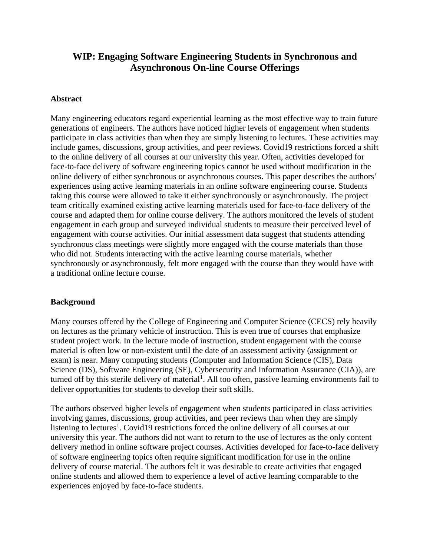# **WIP: Engaging Software Engineering Students in Synchronous and Asynchronous On-line Course Offerings**

## **Abstract**

Many engineering educators regard experiential learning as the most effective way to train future generations of engineers. The authors have noticed higher levels of engagement when students participate in class activities than when they are simply listening to lectures. These activities may include games, discussions, group activities, and peer reviews. Covid19 restrictions forced a shift to the online delivery of all courses at our university this year. Often, activities developed for face-to-face delivery of software engineering topics cannot be used without modification in the online delivery of either synchronous or asynchronous courses. This paper describes the authors' experiences using active learning materials in an online software engineering course. Students taking this course were allowed to take it either synchronously or asynchronously. The project team critically examined existing active learning materials used for face-to-face delivery of the course and adapted them for online course delivery. The authors monitored the levels of student engagement in each group and surveyed individual students to measure their perceived level of engagement with course activities. Our initial assessment data suggest that students attending synchronous class meetings were slightly more engaged with the course materials than those who did not. Students interacting with the active learning course materials, whether synchronously or asynchronously, felt more engaged with the course than they would have with a traditional online lecture course.

### **Background**

Many courses offered by the College of Engineering and Computer Science (CECS) rely heavily on lectures as the primary vehicle of instruction. This is even true of courses that emphasize student project work. In the lecture mode of instruction, student engagement with the course material is often low or non-existent until the date of an assessment activity (assignment or exam) is near. Many computing students (Computer and Information Science (CIS), Data Science (DS), Software Engineering (SE), Cybersecurity and Information Assurance (CIA)), are turned off by this sterile delivery of material<sup>1</sup>. All too often, passive learning environments fail to deliver opportunities for students to develop their soft skills.

The authors observed higher levels of engagement when students participated in class activities involving games, discussions, group activities, and peer reviews than when they are simply listening to lectures<sup>1</sup>. Covid19 restrictions forced the online delivery of all courses at our university this year. The authors did not want to return to the use of lectures as the only content delivery method in online software project courses. Activities developed for face-to-face delivery of software engineering topics often require significant modification for use in the online delivery of course material. The authors felt it was desirable to create activities that engaged online students and allowed them to experience a level of active learning comparable to the experiences enjoyed by face-to-face students.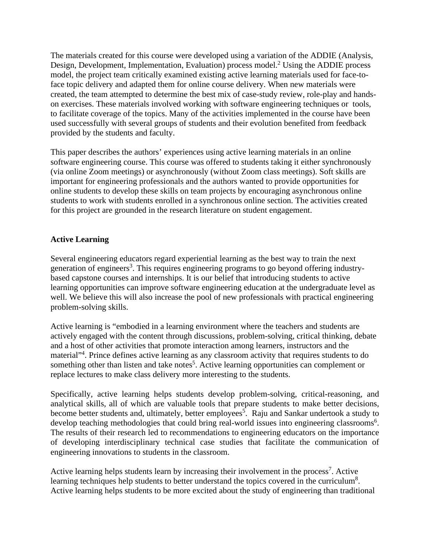The materials created for this course were developed using a variation of the ADDIE (Analysis, Design, Development, Implementation, Evaluation) process model.<sup>2</sup> Using the ADDIE process model, the project team critically examined existing active learning materials used for face-toface topic delivery and adapted them for online course delivery. When new materials were created, the team attempted to determine the best mix of case-study review, role-play and handson exercises. These materials involved working with software engineering techniques or tools, to facilitate coverage of the topics. Many of the activities implemented in the course have been used successfully with several groups of students and their evolution benefited from feedback provided by the students and faculty.

This paper describes the authors' experiences using active learning materials in an online software engineering course. This course was offered to students taking it either synchronously (via online Zoom meetings) or asynchronously (without Zoom class meetings). Soft skills are important for engineering professionals and the authors wanted to provide opportunities for online students to develop these skills on team projects by encouraging asynchronous online students to work with students enrolled in a synchronous online section. The activities created for this project are grounded in the research literature on student engagement.

# **Active Learning**

Several engineering educators regard experiential learning as the best way to train the next generation of engineers<sup>3</sup>. This requires engineering programs to go beyond offering industrybased capstone courses and internships. It is our belief that introducing students to active learning opportunities can improve software engineering education at the undergraduate level as well. We believe this will also increase the pool of new professionals with practical engineering problem-solving skills.

Active learning is "embodied in a learning environment where the teachers and students are actively engaged with the content through discussions, problem-solving, critical thinking, debate and a host of other activities that promote interaction among learners, instructors and the material"<sup>4</sup>. Prince defines active learning as any classroom activity that requires students to do something other than listen and take notes<sup>5</sup>. Active learning opportunities can complement or replace lectures to make class delivery more interesting to the students.

Specifically, active learning helps students develop problem-solving, critical-reasoning, and analytical skills, all of which are valuable tools that prepare students to make better decisions, become better students and, ultimately, better employees<sup>5</sup>. Raju and Sankar undertook a study to develop teaching methodologies that could bring real-world issues into engineering classrooms<sup>6</sup>. The results of their research led to recommendations to engineering educators on the importance of developing interdisciplinary technical case studies that facilitate the communication of engineering innovations to students in the classroom.

Active learning helps students learn by increasing their involvement in the process<sup>7</sup>. Active learning techniques help students to better understand the topics covered in the curriculum<sup>8</sup>. Active learning helps students to be more excited about the study of engineering than traditional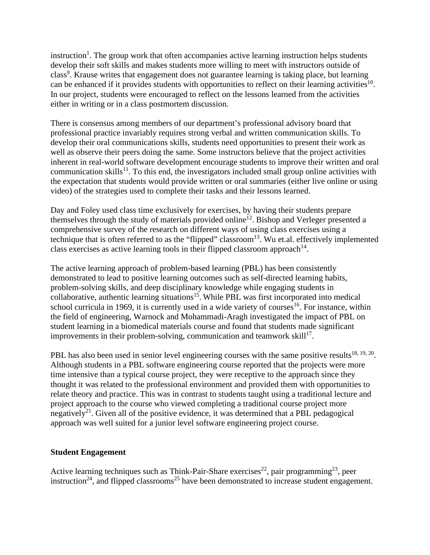instruction<sup>1</sup>. The group work that often accompanies active learning instruction helps students develop their soft skills and makes students more willing to meet with instructors outside of class<sup>9</sup>. Krause writes that engagement does not guarantee learning is taking place, but learning can be enhanced if it provides students with opportunities to reflect on their learning activities<sup>10</sup>. In our project, students were encouraged to reflect on the lessons learned from the activities either in writing or in a class postmortem discussion.

There is consensus among members of our department's professional advisory board that professional practice invariably requires strong verbal and written communication skills. To develop their oral communications skills, students need opportunities to present their work as well as observe their peers doing the same. Some instructors believe that the project activities inherent in real-world software development encourage students to improve their written and oral communication skills<sup>11</sup>. To this end, the investigators included small group online activities with the expectation that students would provide written or oral summaries (either live online or using video) of the strategies used to complete their tasks and their lessons learned.

Day and Foley used class time exclusively for exercises, by having their students prepare themselves through the study of materials provided online<sup>12</sup>. Bishop and Verleger presented a comprehensive survey of the research on different ways of using class exercises using a technique that is often referred to as the "flipped" classroom<sup>13</sup>. Wu et.al. effectively implemented class exercises as active learning tools in their flipped classroom approach<sup>14</sup>.

The active learning approach of problem-based learning (PBL) has been consistently demonstrated to lead to positive learning outcomes such as self-directed learning habits, problem-solving skills, and deep disciplinary knowledge while engaging students in collaborative, authentic learning situations<sup>15</sup>. While PBL was first incorporated into medical school curricula in 1969, it is currently used in a wide variety of courses<sup>16</sup>. For instance, within the field of engineering, Warnock and Mohammadi-Aragh investigated the impact of PBL on student learning in a biomedical materials course and found that students made significant improvements in their problem-solving, communication and teamwork skill<sup>17</sup>.

PBL has also been used in senior level engineering courses with the same positive results<sup>18, 19, 20</sup>. Although students in a PBL software engineering course reported that the projects were more time intensive than a typical course project, they were receptive to the approach since they thought it was related to the professional environment and provided them with opportunities to relate theory and practice. This was in contrast to students taught using a traditional lecture and project approach to the course who viewed completing a traditional course project more negatively<sup>21</sup>. Given all of the positive evidence, it was determined that a PBL pedagogical approach was well suited for a junior level software engineering project course.

### **Student Engagement**

Active learning techniques such as Think-Pair-Share exercises<sup>22</sup>, pair programming<sup>23</sup>, peer instruction<sup>24</sup>, and flipped classrooms<sup>25</sup> have been demonstrated to increase student engagement.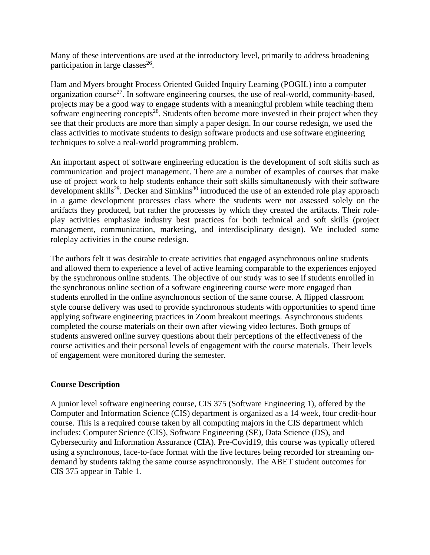Many of these interventions are used at the introductory level, primarily to address broadening participation in large classes $^{26}$ .

Ham and Myers brought Process Oriented Guided Inquiry Learning (POGIL) into a computer organization course<sup>27</sup>. In software engineering courses, the use of real-world, community-based, projects may be a good way to engage students with a meaningful problem while teaching them software engineering concepts<sup>28</sup>. Students often become more invested in their project when they see that their products are more than simply a paper design. In our course redesign, we used the class activities to motivate students to design software products and use software engineering techniques to solve a real-world programming problem.

An important aspect of software engineering education is the development of soft skills such as communication and project management. There are a number of examples of courses that make use of project work to help students enhance their soft skills simultaneously with their software development skills<sup>29</sup>. Decker and Simkins<sup>30</sup> introduced the use of an extended role play approach in a game development processes class where the students were not assessed solely on the artifacts they produced, but rather the processes by which they created the artifacts. Their roleplay activities emphasize industry best practices for both technical and soft skills (project management, communication, marketing, and interdisciplinary design). We included some roleplay activities in the course redesign.

The authors felt it was desirable to create activities that engaged asynchronous online students and allowed them to experience a level of active learning comparable to the experiences enjoyed by the synchronous online students. The objective of our study was to see if students enrolled in the synchronous online section of a software engineering course were more engaged than students enrolled in the online asynchronous section of the same course. A flipped classroom style course delivery was used to provide synchronous students with opportunities to spend time applying software engineering practices in Zoom breakout meetings. Asynchronous students completed the course materials on their own after viewing video lectures. Both groups of students answered online survey questions about their perceptions of the effectiveness of the course activities and their personal levels of engagement with the course materials. Their levels of engagement were monitored during the semester.

## **Course Description**

A junior level software engineering course, CIS 375 (Software Engineering 1), offered by the Computer and Information Science (CIS) department is organized as a 14 week, four credit-hour course. This is a required course taken by all computing majors in the CIS department which includes: Computer Science (CIS), Software Engineering (SE), Data Science (DS), and Cybersecurity and Information Assurance (CIA). Pre-Covid19, this course was typically offered using a synchronous, face-to-face format with the live lectures being recorded for streaming ondemand by students taking the same course asynchronously. The ABET student outcomes for CIS 375 appear in Table 1.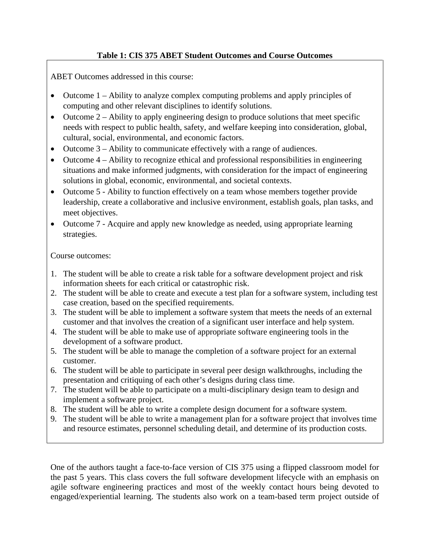# **Table 1: CIS 375 ABET Student Outcomes and Course Outcomes**

ABET Outcomes addressed in this course:

- Outcome 1 Ability to analyze complex computing problems and apply principles of computing and other relevant disciplines to identify solutions.
- Outcome  $2 -$  Ability to apply engineering design to produce solutions that meet specific needs with respect to public health, safety, and welfare keeping into consideration, global, cultural, social, environmental, and economic factors.
- Outcome 3 Ability to communicate effectively with a range of audiences.
- Outcome 4 Ability to recognize ethical and professional responsibilities in engineering situations and make informed judgments, with consideration for the impact of engineering solutions in global, economic, environmental, and societal contexts.
- Outcome 5 Ability to function effectively on a team whose members together provide leadership, create a collaborative and inclusive environment, establish goals, plan tasks, and meet objectives.
- Outcome 7 Acquire and apply new knowledge as needed, using appropriate learning strategies.

Course outcomes:

- 1. The student will be able to create a risk table for a software development project and risk information sheets for each critical or catastrophic risk.
- 2. The student will be able to create and execute a test plan for a software system, including test case creation, based on the specified requirements.
- 3. The student will be able to implement a software system that meets the needs of an external customer and that involves the creation of a significant user interface and help system.
- 4. The student will be able to make use of appropriate software engineering tools in the development of a software product.
- 5. The student will be able to manage the completion of a software project for an external customer.
- 6. The student will be able to participate in several peer design walkthroughs, including the presentation and critiquing of each other's designs during class time.
- 7. The student will be able to participate on a multi-disciplinary design team to design and implement a software project.
- 8. The student will be able to write a complete design document for a software system.
- 9. The student will be able to write a management plan for a software project that involves time and resource estimates, personnel scheduling detail, and determine of its production costs.

One of the authors taught a face-to-face version of CIS 375 using a flipped classroom model for the past 5 years. This class covers the full software development lifecycle with an emphasis on agile software engineering practices and most of the weekly contact hours being devoted to engaged/experiential learning. The students also work on a team-based term project outside of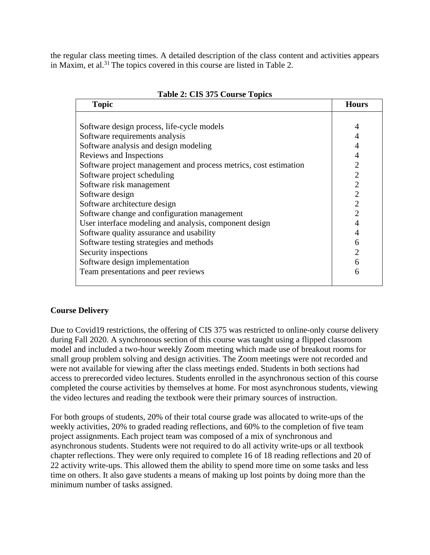the regular class meeting times. A detailed description of the class content and activities appears in Maxim, et al.<sup>31</sup> The topics covered in this course are listed in Table 2.

| <b>Topic</b>                                                     | <b>Hours</b>   |
|------------------------------------------------------------------|----------------|
|                                                                  |                |
| Software design process, life-cycle models                       | 4              |
| Software requirements analysis                                   | 4              |
| Software analysis and design modeling                            | 4              |
| Reviews and Inspections                                          | 4              |
| Software project management and process metrics, cost estimation | $\overline{2}$ |
| Software project scheduling                                      | $\overline{2}$ |
| Software risk management                                         | $\overline{2}$ |
| Software design                                                  | $\overline{2}$ |
| Software architecture design                                     | $\overline{2}$ |
| Software change and configuration management                     | $\overline{2}$ |
| User interface modeling and analysis, component design           | 4              |
| Software quality assurance and usability                         | 4              |
| Software testing strategies and methods                          | 6              |
| Security inspections                                             | $\overline{2}$ |
| Software design implementation                                   | 6              |
| Team presentations and peer reviews                              | 6              |
|                                                                  |                |

|  | Table 2: CIS 375 Course Topics |  |  |
|--|--------------------------------|--|--|
|--|--------------------------------|--|--|

## **Course Delivery**

Due to Covid19 restrictions, the offering of CIS 375 was restricted to online-only course delivery during Fall 2020. A synchronous section of this course was taught using a flipped classroom model and included a two-hour weekly Zoom meeting which made use of breakout rooms for small group problem solving and design activities. The Zoom meetings were not recorded and were not available for viewing after the class meetings ended. Students in both sections had access to prerecorded video lectures. Students enrolled in the asynchronous section of this course completed the course activities by themselves at home. For most asynchronous students, viewing the video lectures and reading the textbook were their primary sources of instruction.

For both groups of students, 20% of their total course grade was allocated to write-ups of the weekly activities, 20% to graded reading reflections, and 60% to the completion of five team project assignments. Each project team was composed of a mix of synchronous and asynchronous students. Students were not required to do all activity write-ups or all textbook chapter reflections. They were only required to complete 16 of 18 reading reflections and 20 of 22 activity write-ups. This allowed them the ability to spend more time on some tasks and less time on others. It also gave students a means of making up lost points by doing more than the minimum number of tasks assigned.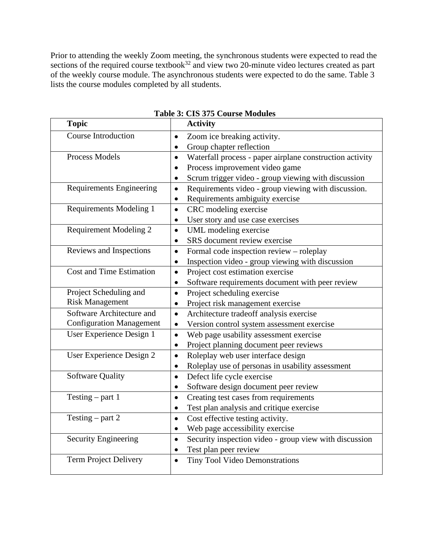Prior to attending the weekly Zoom meeting, the synchronous students were expected to read the sections of the required course textbook<sup>32</sup> and view two 20-minute video lectures created as part of the weekly course module. The asynchronous students were expected to do the same. Table 3 lists the course modules completed by all students.

| <b>Topic</b>                    | <b>Activity</b>                                                       |
|---------------------------------|-----------------------------------------------------------------------|
| <b>Course Introduction</b>      | Zoom ice breaking activity.<br>$\bullet$                              |
|                                 | Group chapter reflection<br>$\bullet$                                 |
| <b>Process Models</b>           | Waterfall process - paper airplane construction activity<br>$\bullet$ |
|                                 | Process improvement video game<br>$\bullet$                           |
|                                 | Scrum trigger video - group viewing with discussion<br>$\bullet$      |
| <b>Requirements Engineering</b> | Requirements video - group viewing with discussion.<br>$\bullet$      |
|                                 | Requirements ambiguity exercise<br>$\bullet$                          |
| Requirements Modeling 1         | CRC modeling exercise<br>$\bullet$                                    |
|                                 | User story and use case exercises<br>$\bullet$                        |
| <b>Requirement Modeling 2</b>   | UML modeling exercise<br>$\bullet$                                    |
|                                 | SRS document review exercise<br>$\bullet$                             |
| Reviews and Inspections         | Formal code inspection review - roleplay<br>$\bullet$                 |
|                                 | Inspection video - group viewing with discussion<br>$\bullet$         |
| <b>Cost and Time Estimation</b> | Project cost estimation exercise<br>$\bullet$                         |
|                                 | Software requirements document with peer review<br>$\bullet$          |
| Project Scheduling and          | Project scheduling exercise<br>$\bullet$                              |
| <b>Risk Management</b>          | Project risk management exercise<br>$\bullet$                         |
| Software Architecture and       | Architecture tradeoff analysis exercise<br>$\bullet$                  |
| <b>Configuration Management</b> | Version control system assessment exercise<br>$\bullet$               |
| User Experience Design 1        | Web page usability assessment exercise<br>$\bullet$                   |
|                                 | Project planning document peer reviews<br>$\bullet$                   |
| User Experience Design 2        | Roleplay web user interface design<br>$\bullet$                       |
|                                 | Roleplay use of personas in usability assessment<br>$\bullet$         |
| <b>Software Quality</b>         | Defect life cycle exercise<br>$\bullet$                               |
|                                 | Software design document peer review<br>$\bullet$                     |
| Testing $-$ part 1              | Creating test cases from requirements<br>$\bullet$                    |
|                                 | Test plan analysis and critique exercise<br>$\bullet$                 |
| Testing $-$ part 2              | Cost effective testing activity.<br>$\bullet$                         |
|                                 | Web page accessibility exercise<br>$\bullet$                          |
| <b>Security Engineering</b>     | Security inspection video - group view with discussion<br>$\bullet$   |
|                                 | Test plan peer review<br>$\bullet$                                    |
| Term Project Delivery           | <b>Tiny Tool Video Demonstrations</b><br>$\bullet$                    |
|                                 |                                                                       |

**Table 3: CIS 375 Course Modules**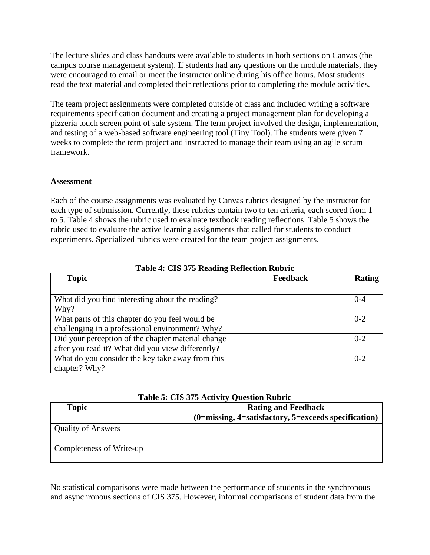The lecture slides and class handouts were available to students in both sections on Canvas (the campus course management system). If students had any questions on the module materials, they were encouraged to email or meet the instructor online during his office hours. Most students read the text material and completed their reflections prior to completing the module activities.

The team project assignments were completed outside of class and included writing a software requirements specification document and creating a project management plan for developing a pizzeria touch screen point of sale system. The term project involved the design, implementation, and testing of a web-based software engineering tool (Tiny Tool). The students were given 7 weeks to complete the term project and instructed to manage their team using an agile scrum framework.

### **Assessment**

Each of the course assignments was evaluated by Canvas rubrics designed by the instructor for each type of submission. Currently, these rubrics contain two to ten criteria, each scored from 1 to 5. Table 4 shows the rubric used to evaluate textbook reading reflections. Table 5 shows the rubric used to evaluate the active learning assignments that called for students to conduct experiments. Specialized rubrics were created for the team project assignments.

| 0<br><b>Topic</b>                                  | <b>Feedback</b> | <b>Rating</b> |
|----------------------------------------------------|-----------------|---------------|
|                                                    |                 |               |
| What did you find interesting about the reading?   |                 | $0 - 4$       |
| Why?                                               |                 |               |
| What parts of this chapter do you feel would be    |                 | $0 - 2$       |
| challenging in a professional environment? Why?    |                 |               |
| Did your perception of the chapter material change |                 | $0 - 2$       |
| after you read it? What did you view differently?  |                 |               |
| What do you consider the key take away from this   |                 | $0 - 2$       |
| chapter? Why?                                      |                 |               |

**Table 4: CIS 375 Reading Reflection Rubric**

| Table 5: CIS 375 Activity Question Rubric |  |
|-------------------------------------------|--|
|-------------------------------------------|--|

| $1.0010$ of $0.000$ of $0.0000$ $1.000$ $1.000$ $1.000$ $1.000$ |                                                              |  |  |
|-----------------------------------------------------------------|--------------------------------------------------------------|--|--|
| Topic                                                           | <b>Rating and Feedback</b>                                   |  |  |
|                                                                 | $(0 = missing, 4 = satisfactory, 5 = exceeds specification)$ |  |  |
| <b>Quality of Answers</b>                                       |                                                              |  |  |
| Completeness of Write-up                                        |                                                              |  |  |

No statistical comparisons were made between the performance of students in the synchronous and asynchronous sections of CIS 375. However, informal comparisons of student data from the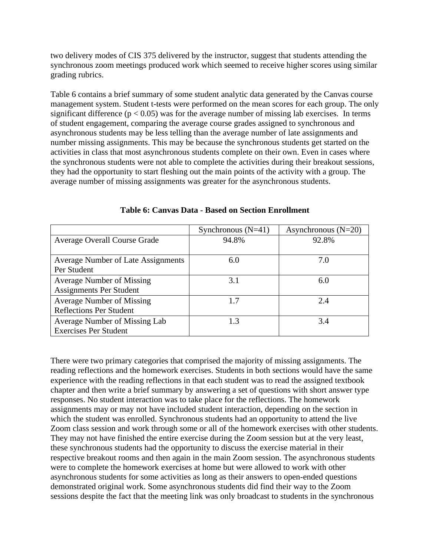two delivery modes of CIS 375 delivered by the instructor, suggest that students attending the synchronous zoom meetings produced work which seemed to receive higher scores using similar grading rubrics.

Table 6 contains a brief summary of some student analytic data generated by the Canvas course management system. Student t-tests were performed on the mean scores for each group. The only significant difference ( $p < 0.05$ ) was for the average number of missing lab exercises. In terms of student engagement, comparing the average course grades assigned to synchronous and asynchronous students may be less telling than the average number of late assignments and number missing assignments. This may be because the synchronous students get started on the activities in class that most asynchronous students complete on their own. Even in cases where the synchronous students were not able to complete the activities during their breakout sessions, they had the opportunity to start fleshing out the main points of the activity with a group. The average number of missing assignments was greater for the asynchronous students.

|                                                                    | Synchronous $(N=41)$ | Asynchronous $(N=20)$ |
|--------------------------------------------------------------------|----------------------|-----------------------|
| <b>Average Overall Course Grade</b>                                | 94.8%                | 92.8%                 |
| Average Number of Late Assignments<br>Per Student                  | 6.0                  | 7.0                   |
| <b>Average Number of Missing</b><br><b>Assignments Per Student</b> | 3.1                  | 6.0                   |
| <b>Average Number of Missing</b><br><b>Reflections Per Student</b> | 1.7                  | 2.4                   |
| Average Number of Missing Lab<br><b>Exercises Per Student</b>      | 1.3                  | 3.4                   |

**Table 6: Canvas Data - Based on Section Enrollment**

There were two primary categories that comprised the majority of missing assignments. The reading reflections and the homework exercises. Students in both sections would have the same experience with the reading reflections in that each student was to read the assigned textbook chapter and then write a brief summary by answering a set of questions with short answer type responses. No student interaction was to take place for the reflections. The homework assignments may or may not have included student interaction, depending on the section in which the student was enrolled. Synchronous students had an opportunity to attend the live Zoom class session and work through some or all of the homework exercises with other students. They may not have finished the entire exercise during the Zoom session but at the very least, these synchronous students had the opportunity to discuss the exercise material in their respective breakout rooms and then again in the main Zoom session. The asynchronous students were to complete the homework exercises at home but were allowed to work with other asynchronous students for some activities as long as their answers to open-ended questions demonstrated original work. Some asynchronous students did find their way to the Zoom sessions despite the fact that the meeting link was only broadcast to students in the synchronous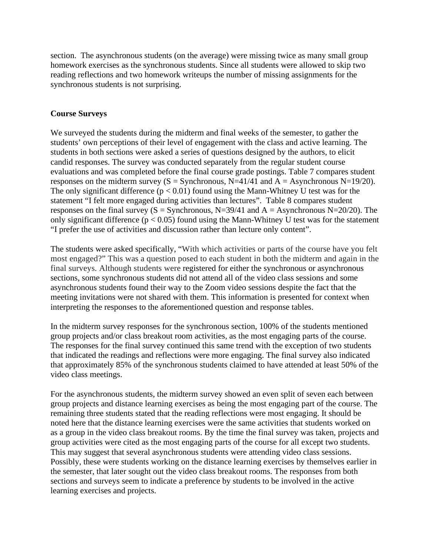section. The asynchronous students (on the average) were missing twice as many small group homework exercises as the synchronous students. Since all students were allowed to skip two reading reflections and two homework writeups the number of missing assignments for the synchronous students is not surprising.

## **Course Surveys**

We surveyed the students during the midterm and final weeks of the semester, to gather the students' own perceptions of their level of engagement with the class and active learning. The students in both sections were asked a series of questions designed by the authors, to elicit candid responses. The survey was conducted separately from the regular student course evaluations and was completed before the final course grade postings. Table 7 compares student responses on the midterm survey  $(S = S$ ynchronous, N=41/41 and A = Asynchronous N=19/20). The only significant difference  $(p < 0.01)$  found using the Mann-Whitney U test was for the statement "I felt more engaged during activities than lectures". Table 8 compares student responses on the final survey  $(S = S$ ynchronous, N=39/41 and A = Asynchronous N=20/20). The only significant difference ( $p < 0.05$ ) found using the Mann-Whitney U test was for the statement "I prefer the use of activities and discussion rather than lecture only content".

The students were asked specifically, "With which activities or parts of the course have you felt most engaged?" This was a question posed to each student in both the midterm and again in the final surveys. Although students were registered for either the synchronous or asynchronous sections, some synchronous students did not attend all of the video class sessions and some asynchronous students found their way to the Zoom video sessions despite the fact that the meeting invitations were not shared with them. This information is presented for context when interpreting the responses to the aforementioned question and response tables.

In the midterm survey responses for the synchronous section, 100% of the students mentioned group projects and/or class breakout room activities, as the most engaging parts of the course. The responses for the final survey continued this same trend with the exception of two students that indicated the readings and reflections were more engaging. The final survey also indicated that approximately 85% of the synchronous students claimed to have attended at least 50% of the video class meetings.

For the asynchronous students, the midterm survey showed an even split of seven each between group projects and distance learning exercises as being the most engaging part of the course. The remaining three students stated that the reading reflections were most engaging. It should be noted here that the distance learning exercises were the same activities that students worked on as a group in the video class breakout rooms. By the time the final survey was taken, projects and group activities were cited as the most engaging parts of the course for all except two students. This may suggest that several asynchronous students were attending video class sessions. Possibly, these were students working on the distance learning exercises by themselves earlier in the semester, that later sought out the video class breakout rooms. The responses from both sections and surveys seem to indicate a preference by students to be involved in the active learning exercises and projects.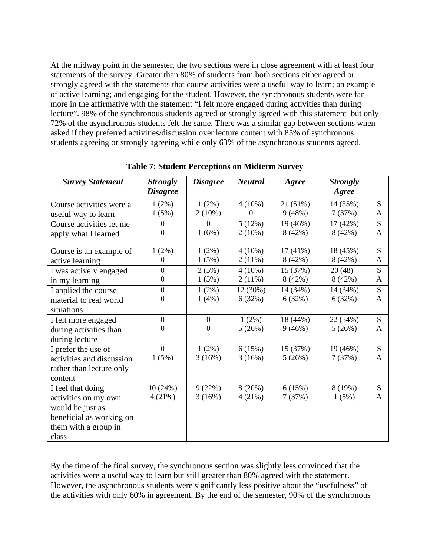At the midway point in the semester, the two sections were in close agreement with at least four statements of the survey. Greater than 80% of students from both sections either agreed or strongly agreed with the statements that course activities were a useful way to learn; an example of active learning; and engaging for the student. However, the synchronous students were far more in the affirmative with the statement "I felt more engaged during activities than during lecture". 98% of the synchronous students agreed or strongly agreed with this statement but only 72% of the asynchronous students felt the same. There was a similar gap between sections when asked if they preferred activities/discussion over lecture content with 85% of synchronous students agreeing or strongly agreeing while only 63% of the asynchronous students agreed.

| <b>Survey Statement</b>   | <b>Strongly</b>  | <b>Disagree</b>  | <b>Neutral</b> | Agree      | <b>Strongly</b> |              |
|---------------------------|------------------|------------------|----------------|------------|-----------------|--------------|
|                           | <b>Disagree</b>  |                  |                |            | Agree           |              |
| Course activities were a  | $1(2\%)$         | $1(2\%)$         | $4(10\%)$      | 21 (51%)   | 14 (35%)        | S            |
| useful way to learn       | 1(5%)            | $2(10\%)$        | $\Omega$       | 9(48%)     | 7(37%)          | A            |
| Course activities let me  | $\Omega$         | $\Omega$         | 5(12%)         | 19 (46%)   | 17(42%)         | S            |
| apply what I learned      | $\overline{0}$   | 1(6%)            | $2(10\%)$      | 8(42%)     | 8(42%)          | A            |
| Course is an example of   | 1(2%)            | 1(2%)            | $4(10\%)$      | $17(41\%)$ | 18 (45%)        | S            |
| active learning           | $\theta$         | 1(5%)            | 2(11%)         | 8(42%)     | 8(42%)          | A            |
| I was actively engaged    | $\boldsymbol{0}$ | 2(5%)            | $4(10\%)$      | 15 (37%)   | 20(48)          | S            |
| in my learning            | $\boldsymbol{0}$ | 1(5%)            | 2(11%)         | 8(42%)     | 8(42%)          | A            |
| I applied the course      | $\boldsymbol{0}$ | $1(2\%)$         | 12 (30%)       | 14 (34%)   | 14 (34%)        | S            |
| material to real world    | $\Omega$         | 1(4%)            | 6(32%)         | 6(32%)     | 6(32%)          | A            |
| situations                |                  |                  |                |            |                 |              |
| I felt more engaged       | $\boldsymbol{0}$ | $\boldsymbol{0}$ | $1(2\%)$       | 18 (44%)   | 22 (54%)        | S            |
| during activities than    | $\overline{0}$   | $\theta$         | 5(26%)         | 9(46%)     | 5(26%)          | $\mathsf{A}$ |
| during lecture            |                  |                  |                |            |                 |              |
| I prefer the use of       | $\Omega$         | $1(2\%)$         | 6(15%)         | 15 (37%)   | 19 (46%)        | S            |
| activities and discussion | 1(5%)            | 3(16%)           | 3(16%)         | 5(26%)     | 7(37%)          | A            |
| rather than lecture only  |                  |                  |                |            |                 |              |
| content                   |                  |                  |                |            |                 |              |
| I feel that doing         | 10(24%)          | 9(22%)           | 8(20%)         | 6(15%)     | 8 (19%)         | S            |
| activities on my own      | 4(21%)           | 3(16%)           | 4(21%)         | 7(37%)     | 1(5%)           | A            |
| would be just as          |                  |                  |                |            |                 |              |
| beneficial as working on  |                  |                  |                |            |                 |              |
| them with a group in      |                  |                  |                |            |                 |              |
| class                     |                  |                  |                |            |                 |              |

**Table 7: Student Perceptions on Midterm Survey**

By the time of the final survey, the synchronous section was slightly less convinced that the activities were a useful way to learn but still greater than 80% agreed with the statement. However, the asynchronous students were significantly less positive about the "usefulness" of the activities with only 60% in agreement. By the end of the semester, 90% of the synchronous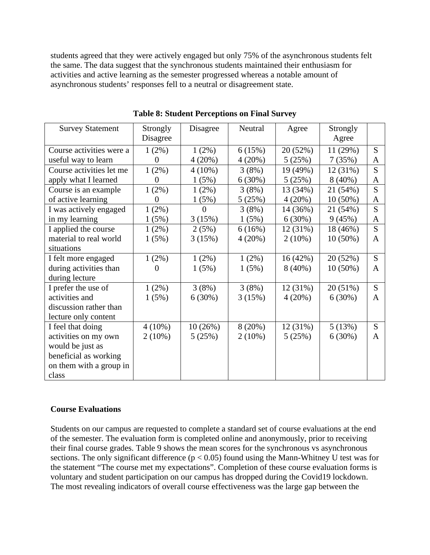students agreed that they were actively engaged but only 75% of the asynchronous students felt the same. The data suggest that the synchronous students maintained their enthusiasm for activities and active learning as the semester progressed whereas a notable amount of asynchronous students' responses fell to a neutral or disagreement state.

| <b>Survey Statement</b>  | Strongly          | Disagree  | Neutral   | Agree     | Strongly   |              |
|--------------------------|-------------------|-----------|-----------|-----------|------------|--------------|
|                          | Disagree          |           |           |           | Agree      |              |
| Course activities were a | $1(2\%)$          | 1(2%)     | 6(15%)    | 20 (52%)  | 11 (29%)   | S            |
| useful way to learn      | 0                 | 4(20%)    | 4(20%)    | 5(25%)    | 7(35%)     | A            |
| Course activities let me | 1(2%)             | $4(10\%)$ | 3(8%)     | 19 (49%)  | 12 (31%)   | S            |
| apply what I learned     | $\mathbf{\Omega}$ | 1(5%)     | 6(30%)    | 5(25%)    | $8(40\%)$  | A            |
| Course is an example     | 1(2%)             | 1(2%)     | 3(8%)     | 13 (34%)  | 21 (54%)   | S            |
| of active learning       | 0                 | 1(5%)     | 5(25%)    | 4(20%)    | $10(50\%)$ | A            |
| I was actively engaged   | 1(2%)             | $\Omega$  | 3(8%)     | 14 (36%)  | 21 (54%)   | S            |
| in my learning           | 1(5%)             | 3(15%)    | 1(5%)     | 6(30%)    | 9(45%)     | A            |
| I applied the course     | 1(2%)             | 2(5%)     | 6(16%)    | 12 (31%)  | 18 (46%)   | S            |
| material to real world   | 1(5%)             | 3(15%)    | 4(20%)    | $2(10\%)$ | $10(50\%)$ | A            |
| situations               |                   |           |           |           |            |              |
| I felt more engaged      | 1(2%)             | 1(2%)     | $1(2\%)$  | 16(42%)   | 20 (52%)   | S            |
| during activities than   | $\Omega$          | 1(5%)     | 1(5%)     | $8(40\%)$ | $10(50\%)$ | $\mathsf{A}$ |
| during lecture           |                   |           |           |           |            |              |
| I prefer the use of      | 1(2%)             | 3(8%)     | 3(8%)     | 12(31%)   | 20 (51%)   | S            |
| activities and           | 1(5%)             | 6(30%)    | 3(15%)    | 4(20%)    | 6(30%)     | A            |
| discussion rather than   |                   |           |           |           |            |              |
| lecture only content     |                   |           |           |           |            |              |
| I feel that doing        | $4(10\%)$         | 10(26%)   | 8(20%)    | 12 (31%)  | 5(13%)     | S            |
| activities on my own     | $2(10\%)$         | 5(25%)    | $2(10\%)$ | 5(25%)    | 6(30%)     | A            |
| would be just as         |                   |           |           |           |            |              |
| beneficial as working    |                   |           |           |           |            |              |
| on them with a group in  |                   |           |           |           |            |              |
| class                    |                   |           |           |           |            |              |

**Table 8: Student Perceptions on Final Survey**

## **Course Evaluations**

Students on our campus are requested to complete a standard set of course evaluations at the end of the semester. The evaluation form is completed online and anonymously, prior to receiving their final course grades. Table 9 shows the mean scores for the synchronous vs asynchronous sections. The only significant difference ( $p < 0.05$ ) found using the Mann-Whitney U test was for the statement "The course met my expectations". Completion of these course evaluation forms is voluntary and student participation on our campus has dropped during the Covid19 lockdown. The most revealing indicators of overall course effectiveness was the large gap between the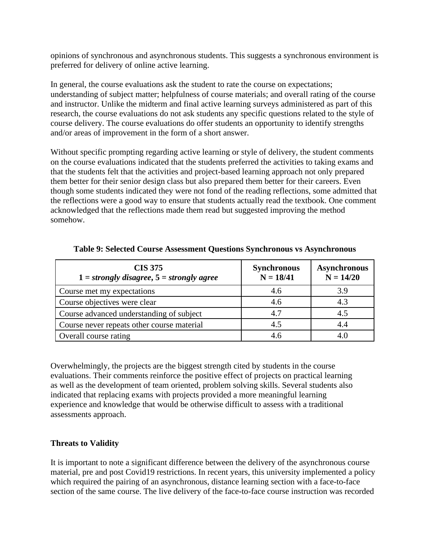opinions of synchronous and asynchronous students. This suggests a synchronous environment is preferred for delivery of online active learning.

In general, the course evaluations ask the student to rate the course on expectations; understanding of subject matter; helpfulness of course materials; and overall rating of the course and instructor. Unlike the midterm and final active learning surveys administered as part of this research, the course evaluations do not ask students any specific questions related to the style of course delivery. The course evaluations do offer students an opportunity to identify strengths and/or areas of improvement in the form of a short answer.

Without specific prompting regarding active learning or style of delivery, the student comments on the course evaluations indicated that the students preferred the activities to taking exams and that the students felt that the activities and project-based learning approach not only prepared them better for their senior design class but also prepared them better for their careers. Even though some students indicated they were not fond of the reading reflections, some admitted that the reflections were a good way to ensure that students actually read the textbook. One comment acknowledged that the reflections made them read but suggested improving the method somehow.

| <b>CIS 375</b><br>$1 = strongly disagree, 5 = strongly agree$ | <b>Synchronous</b><br>$N = 18/41$ | <b>Asynchronous</b><br>$N = 14/20$ |
|---------------------------------------------------------------|-----------------------------------|------------------------------------|
| Course met my expectations                                    | 4.6                               | 3.9                                |
| Course objectives were clear                                  | 4.6                               | 4.3                                |
| Course advanced understanding of subject                      | 4.7                               | 4.5                                |
| Course never repeats other course material                    | 4.5                               |                                    |
| Overall course rating                                         |                                   |                                    |

**Table 9: Selected Course Assessment Questions Synchronous vs Asynchronous**

Overwhelmingly, the projects are the biggest strength cited by students in the course evaluations. Their comments reinforce the positive effect of projects on practical learning as well as the development of team oriented, problem solving skills. Several students also indicated that replacing exams with projects provided a more meaningful learning experience and knowledge that would be otherwise difficult to assess with a traditional assessments approach.

## **Threats to Validity**

It is important to note a significant difference between the delivery of the asynchronous course material, pre and post Covid19 restrictions. In recent years, this university implemented a policy which required the pairing of an asynchronous, distance learning section with a face-to-face section of the same course. The live delivery of the face-to-face course instruction was recorded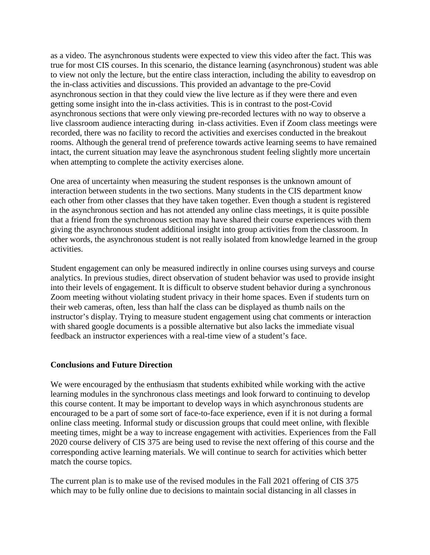as a video. The asynchronous students were expected to view this video after the fact. This was true for most CIS courses. In this scenario, the distance learning (asynchronous) student was able to view not only the lecture, but the entire class interaction, including the ability to eavesdrop on the in-class activities and discussions. This provided an advantage to the pre-Covid asynchronous section in that they could view the live lecture as if they were there and even getting some insight into the in-class activities. This is in contrast to the post-Covid asynchronous sections that were only viewing pre-recorded lectures with no way to observe a live classroom audience interacting during in-class activities. Even if Zoom class meetings were recorded, there was no facility to record the activities and exercises conducted in the breakout rooms. Although the general trend of preference towards active learning seems to have remained intact, the current situation may leave the asynchronous student feeling slightly more uncertain when attempting to complete the activity exercises alone.

One area of uncertainty when measuring the student responses is the unknown amount of interaction between students in the two sections. Many students in the CIS department know each other from other classes that they have taken together. Even though a student is registered in the asynchronous section and has not attended any online class meetings, it is quite possible that a friend from the synchronous section may have shared their course experiences with them giving the asynchronous student additional insight into group activities from the classroom. In other words, the asynchronous student is not really isolated from knowledge learned in the group activities.

Student engagement can only be measured indirectly in online courses using surveys and course analytics. In previous studies, direct observation of student behavior was used to provide insight into their levels of engagement. It is difficult to observe student behavior during a synchronous Zoom meeting without violating student privacy in their home spaces. Even if students turn on their web cameras, often, less than half the class can be displayed as thumb nails on the instructor's display. Trying to measure student engagement using chat comments or interaction with shared google documents is a possible alternative but also lacks the immediate visual feedback an instructor experiences with a real-time view of a student's face.

### **Conclusions and Future Direction**

We were encouraged by the enthusiasm that students exhibited while working with the active learning modules in the synchronous class meetings and look forward to continuing to develop this course content. It may be important to develop ways in which asynchronous students are encouraged to be a part of some sort of face-to-face experience, even if it is not during a formal online class meeting. Informal study or discussion groups that could meet online, with flexible meeting times, might be a way to increase engagement with activities. Experiences from the Fall 2020 course delivery of CIS 375 are being used to revise the next offering of this course and the corresponding active learning materials. We will continue to search for activities which better match the course topics.

The current plan is to make use of the revised modules in the Fall 2021 offering of CIS 375 which may to be fully online due to decisions to maintain social distancing in all classes in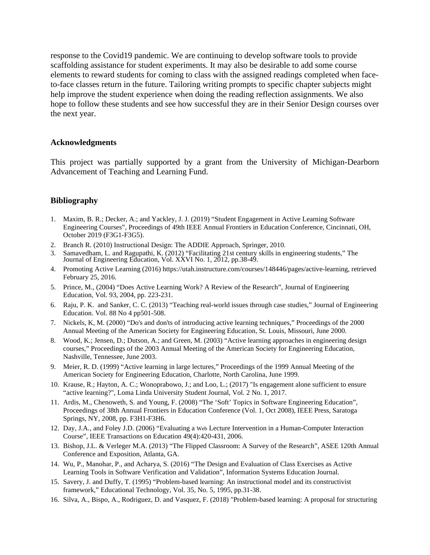response to the Covid19 pandemic. We are continuing to develop software tools to provide scaffolding assistance for student experiments. It may also be desirable to add some course elements to reward students for coming to class with the assigned readings completed when faceto-face classes return in the future. Tailoring writing prompts to specific chapter subjects might help improve the student experience when doing the reading reflection assignments. We also hope to follow these students and see how successful they are in their Senior Design courses over the next year.

### **Acknowledgments**

This project was partially supported by a grant from the University of Michigan-Dearborn Advancement of Teaching and Learning Fund.

### **Bibliography**

- 1. Maxim, B. R.; Decker, A.; and Yackley, J. J. (2019) "Student Engagement in Active Learning Software Engineering Courses", Proceedings of 49th IEEE Annual Frontiers in Education Conference, Cincinnati, OH, October 2019 (F3G1-F3G5).
- 2. Branch R. (2010) Instructional Design: The ADDIE Approach, Springer, 2010.
- 3. Samavedham, L. and Ragupathi, K. (2012) "Facilitating 21st century skills in engineering students," The Journal of Engineering Education, Vol. XXVI No. 1, 2012, pp.38-49.
- 4. Promoting Active Learning (2016) https://utah.instructure.com/courses/148446/pages/active-learning, retrieved February 25, 2016.
- 5. Prince, M., (2004) "Does Active Learning Work? A Review of the Research", Journal of Engineering Education, Vol. 93, 2004, pp. 223-231.
- 6. Raju, P. K. and Sanker, C. C. (2013) "Teaching real-world issues through case studies," Journal of Engineering Education. Vol. 88 No 4 pp501-508.
- 7. Nickels, K, M. (2000) "Do's and don'ts of introducing active learning techniques," Proceedings of the 2000 Annual Meeting of the American Society for Engineering Education, St. Louis, Missouri, June 2000.
- 8. Wood, K.; Jensen, D.; Dutson, A.; and Green, M. (2003) "Active learning approaches in engineering design courses," Proceedings of the 2003 Annual Meeting of the American Society for Engineering Education, Nashville, Tennessee, June 2003.
- 9. Meier, R. D. (1999) "Active learning in large lectures," Proceedings of the 1999 Annual Meeting of the American Society for Engineering Education, Charlotte, North Carolina, June 1999.
- 10. Krause, R.; Hayton, A. C.; Wonoprabowo, J.; and Loo, L.; (2017) "Is engagement alone sufficient to ensure "active learning?", Loma Linda University Student Journal, Vol. 2 No. 1, 2017.
- 11. Ardis, M., Chenoweth, S. and Young, F. (2008) "The 'Soft' Topics in Software Engineering Education", Proceedings of 38th Annual Frontiers in Education Conference (Vol. 1, Oct 2008), IEEE Press, Saratoga Springs, NY, 2008, pp. F3H1-F3H6.
- 12. Day, J.A., and Foley J.D. (2006) "Evaluating a Web Lecture Intervention in a Human-Computer Interaction Course", IEEE Transactions on Education 49(4):420-431, 2006.
- 13. Bishop, J.L. & Verleger M.A. (2013) "The Flipped Classroom: A Survey of the Research", ASEE 120th Annual Conference and Exposition, Atlanta, GA.
- 14. Wu, P., Manohar, P., and Acharya, S. (2016) "The Design and Evaluation of Class Exercises as Active Learning Tools in Software Verification and Validation", Information Systems Education Journal.
- 15. Savery, J. and Duffy, T. (1995) "Problem-based learning: An instructional model and its constructivist framework," Educational Technology, Vol. 35, No. 5, 1995, pp.31-38.
- 16. [Silva, A.,](https://www.emerald.com/insight/search?q=Anielson%20Barbosa%20Da%20Silva) [Bispo, A.,](https://www.emerald.com/insight/search?q=Ana%20Carolina%20Kruta%20de%20Ara%C3%BAjo%20Bispo) [Rodriguez, D.](https://www.emerald.com/insight/search?q=Danilo%20Goncalves%20Rodriguez) and [Vasquez, F.](https://www.emerald.com/insight/search?q=Francisco%20Ialyson%20Felipe%20Vasquez) (2018) "Problem-based learning: A proposal for structuring